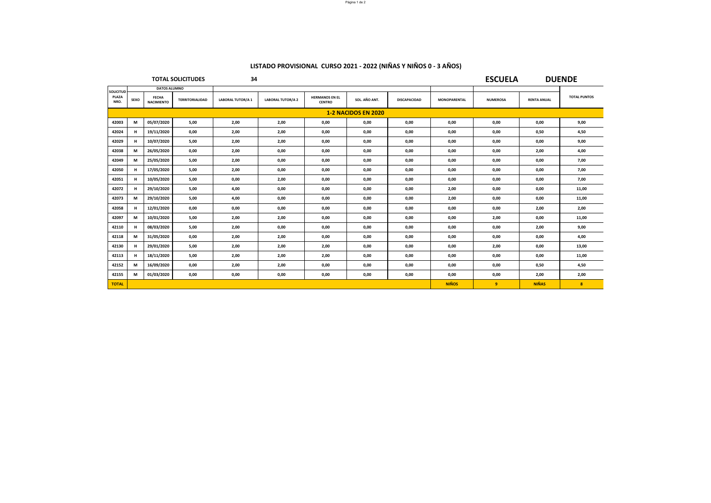|                                   |                            |                                   | <b>TOTAL SOLICITUDES</b> | 34                      | <b>ESCUELA</b>           |                                        | <b>DUENDE</b> |                     |                     |                 |                    |                     |
|-----------------------------------|----------------------------|-----------------------------------|--------------------------|-------------------------|--------------------------|----------------------------------------|---------------|---------------------|---------------------|-----------------|--------------------|---------------------|
|                                   | DATOS ALUMNO               |                                   |                          |                         |                          |                                        |               |                     |                     |                 |                    |                     |
| <b>SOLICITUD</b><br>PLAZA<br>NRO. | <b>SEXO</b>                | <b>FECHA</b><br><b>NACIMIENTO</b> | <b>TERRITORIALIDAD</b>   | <b>LABORAL TUTOR/A1</b> | <b>LABORAL TUTOR/A 2</b> | <b>HERMANOS EN EL</b><br><b>CENTRO</b> | SOL. AÑO ANT. | <b>DISCAPACIDAD</b> | <b>MONOPARENTAL</b> | <b>NUMEROSA</b> | <b>RENTA ANUAL</b> | <b>TOTAL PUNTOS</b> |
|                                   | <b>1-2 NACIDOS EN 2020</b> |                                   |                          |                         |                          |                                        |               |                     |                     |                 |                    |                     |
| 42003                             | M                          | 05/07/2020                        | 5,00                     | 2,00                    | 2,00                     | 0,00                                   | 0,00          | 0,00                | 0,00                | 0,00            | 0,00               | 9,00                |
| 42024                             | н.                         | 19/11/2020                        | 0,00                     | 2,00                    | 2,00                     | 0,00                                   | 0,00          | 0,00                | 0,00                | 0,00            | 0,50               | 4,50                |
| 42029                             | н                          | 10/07/2020                        | 5,00                     | 2,00                    | 2,00                     | 0,00                                   | 0,00          | 0,00                | 0,00                | 0,00            | 0,00               | 9,00                |
| 42038                             | M                          | 26/05/2020                        | 0,00                     | 2,00                    | 0,00                     | 0,00                                   | 0,00          | 0,00                | 0,00                | 0,00            | 2,00               | 4,00                |
| 42049                             | M                          | 25/05/2020                        | 5,00                     | 2,00                    | 0.00                     | 0,00                                   | 0,00          | 0,00                | 0,00                | 0,00            | 0,00               | 7,00                |
| 42050                             | н                          | 17/05/2020                        | 5,00                     | 2,00                    | 0,00                     | 0,00                                   | 0,00          | 0,00                | 0,00                | 0,00            | 0,00               | 7,00                |
| 42051                             | н                          | 10/05/2020                        | 5,00                     | 0,00                    | 2,00                     | 0,00                                   | 0,00          | 0,00                | 0,00                | 0,00            | 0,00               | 7,00                |
| 42072                             | н.                         | 29/10/2020                        | 5,00                     | 4,00                    | 0.00                     | 0,00                                   | 0,00          | 0,00                | 2,00                | 0,00            | 0,00               | 11,00               |
| 42073                             | M                          | 29/10/2020                        | 5,00                     | 4,00                    | 0,00                     | 0,00                                   | 0,00          | 0,00                | 2,00                | 0,00            | 0,00               | 11,00               |
| 42058                             | н                          | 12/01/2020                        | 0,00                     | 0,00                    | 0,00                     | 0,00                                   | 0,00          | 0,00                | 0,00                | 0,00            | 2,00               | 2,00                |
| 42097                             | M                          | 10/01/2020                        | 5,00                     | 2,00                    | 2,00                     | 0,00                                   | 0,00          | 0,00                | 0,00                | 2,00            | 0,00               | 11,00               |
| 42110                             | н                          | 08/03/2020                        | 5,00                     | 2,00                    | 0,00                     | 0,00                                   | 0,00          | 0,00                | 0,00                | 0,00            | 2,00               | 9,00                |
| 42118                             | M                          | 31/05/2020                        | 0,00                     | 2,00                    | 2,00                     | 0,00                                   | 0,00          | 0,00                | 0,00                | 0,00            | 0,00               | 4,00                |
| 42130                             | н.                         | 29/01/2020                        | 5,00                     | 2,00                    | 2,00                     | 2,00                                   | 0,00          | 0,00                | 0,00                | 2,00            | 0,00               | 13,00               |
| 42113                             | н                          | 18/11/2020                        | 5,00                     | 2,00                    | 2,00                     | 2,00                                   | 0,00          | 0,00                | 0,00                | 0,00            | 0,00               | 11,00               |
| 42152                             | M                          | 16/09/2020                        | 0,00                     | 2,00                    | 2,00                     | 0,00                                   | 0,00          | 0,00                | 0,00                | 0,00            | 0,50               | 4,50                |
| 42155                             | M                          | 01/03/2020                        | 0,00                     | 0,00                    | 0,00                     | 0,00                                   | 0,00          | 0,00                | 0,00                | 0,00            | 2,00               | 2,00                |
| <b>TOTAL</b>                      |                            |                                   |                          |                         |                          |                                        |               |                     | <b>NIÑOS</b>        | $\overline{9}$  | <b>NIÑAS</b>       | 8                   |